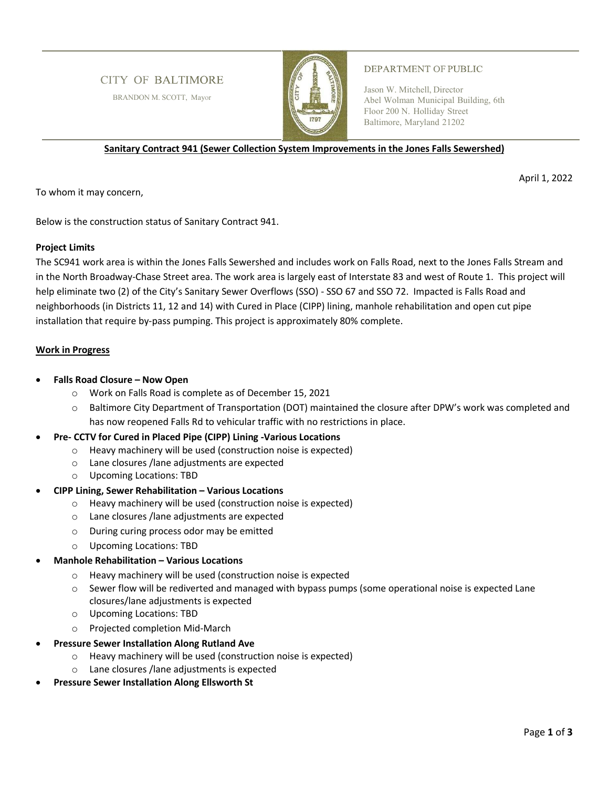# **CITY OF BALTIMORE**

BRANDON M. SCOTT, Mayor



### **DEPARTMENT OF PUBLIC**

Jason W. Mitchell, Director Abel Wolman Municipal Building, 6th Floor 200 N. Holliday Street Baltimore, Maryland 21202

**Sanitary Contract 941 (Sewer Collection System Improvements in the Jones Falls Sewershed)** 

April 1, 2022

To whom it may concern,

Below is the construction status of Sanitary Contract 941.

## **Project Limits**

The SC941 work area is within the Jones Falls Sewershed and includes work on Falls Road, next to the Jones Falls Stream and in the North Broadway-Chase Street area. The work area is largely east of Interstate 83 and west of Route 1. This project will help eliminate two (2) of the City's Sanitary Sewer Overflows (SSO) - SSO 67 and SSO 72. Impacted is Falls Road and neighborhoods (in Districts 11, 12 and 14) with Cured in Place (CIPP) lining, manhole rehabilitation and open cut pipe installation that require by-pass pumping. This project is approximately 80% complete.

## **Work in Progress**

- **Falls Road Closure Now Open** 
	- o Work on Falls Road is complete as of December 15, 2021
	- o Baltimore City Department of Transportation (DOT) maintained the closure after DPW's work was completed and has now reopened Falls Rd to vehicular traffic with no restrictions in place.
- **Pre- CCTV for Cured in Placed Pipe (CIPP) Lining -Various Locations** 
	- o Heavy machinery will be used (construction noise is expected)
	- o Lane closures /lane adjustments are expected
	- o Upcoming Locations: TBD

## **CIPP Lining, Sewer Rehabilitation – Various Locations**

- o Heavy machinery will be used (construction noise is expected)
- o Lane closures /lane adjustments are expected
- o During curing process odor may be emitted
- o Upcoming Locations: TBD
- **Manhole Rehabilitation Various Locations** 
	- o Heavy machinery will be used (construction noise is expected
	- $\circ$  Sewer flow will be rediverted and managed with bypass pumps (some operational noise is expected Lane closures/lane adjustments is expected
	- o Upcoming Locations: TBD
	- o Projected completion Mid-March
- **Pressure Sewer Installation Along Rutland Ave** 
	- Heavy machinery will be used (construction noise is expected)
	- o Lane closures /lane adjustments is expected
- **Pressure Sewer Installation Along Ellsworth St**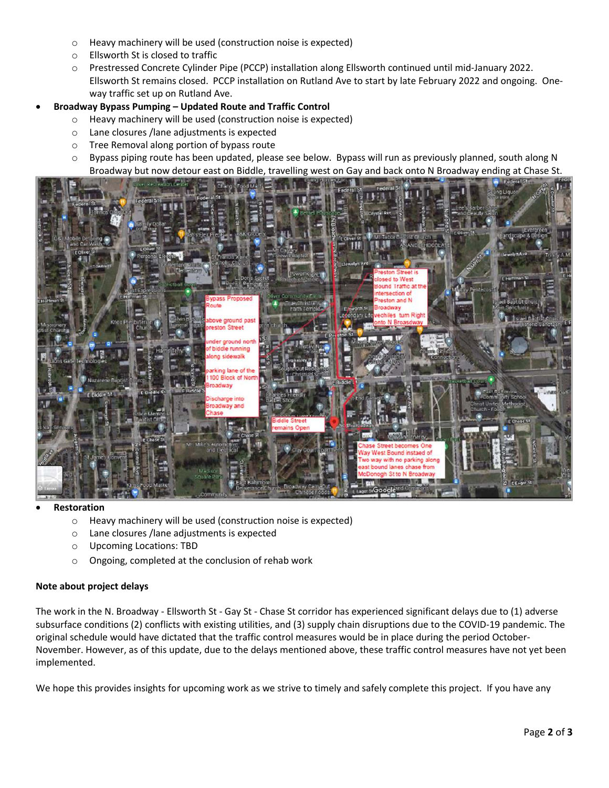- o Heavy machinery will be used (construction noise is expected)
- o Ellsworth St is closed to traffic
- o Prestressed Concrete Cylinder Pipe (PCCP) installation along Ellsworth continued until mid-January 2022. Ellsworth St remains closed. PCCP installation on Rutland Ave to start by late February 2022 and ongoing. Oneway traffic set up on Rutland Ave.
- **Broadway Bypass Pumping Updated Route and Traffic Control** 
	- o Heavy machinery will be used (construction noise is expected)
	- o Lane closures /lane adjustments is expected
	- o Tree Removal along portion of bypass route
	- o Bypass piping route has been updated, please see below. Bypass will run as previously planned, south along N Broadway but now detour east on Biddle, travelling west on Gay and back onto N Broadway ending at Chase St.



#### **Restoration**

- o Heavy machinery will be used (construction noise is expected)
- o Lane closures /lane adjustments is expected
- o Upcoming Locations: TBD
- o Ongoing, completed at the conclusion of rehab work

#### **Note about project delays**

The work in the N. Broadway - Ellsworth St - Gay St - Chase St corridor has experienced significant delays due to (1) adverse subsurface conditions (2) conflicts with existing utilities, and (3) supply chain disruptions due to the COVID-19 pandemic. The original schedule would have dictated that the traffic control measures would be in place during the period October-November. However, as of this update, due to the delays mentioned above, these traffic control measures have not yet been implemented.

We hope this provides insights for upcoming work as we strive to timely and safely complete this project. If you have any